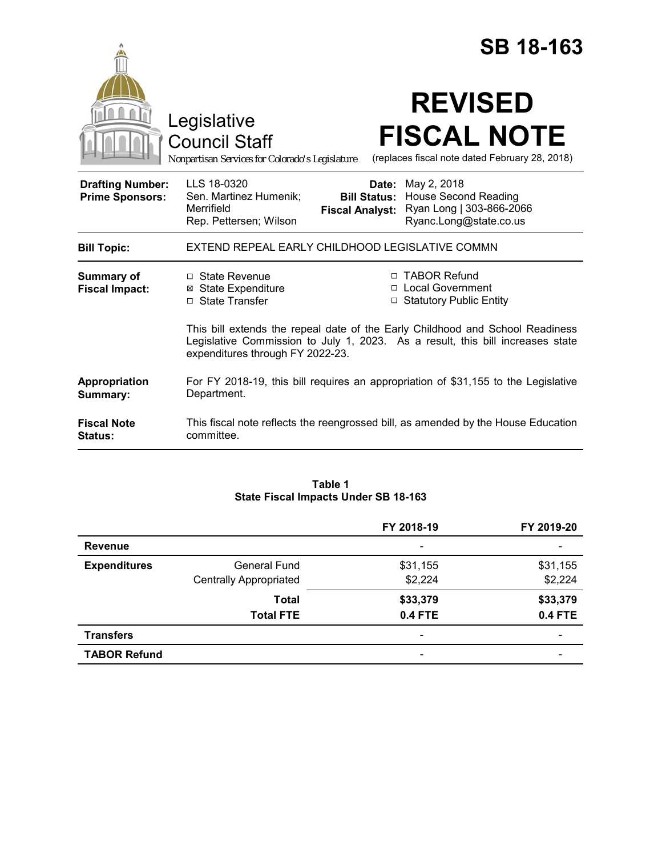|                                                   |                                                                                                                                                                                                     |                                 | <b>SB 18-163</b>                                                                                              |  |
|---------------------------------------------------|-----------------------------------------------------------------------------------------------------------------------------------------------------------------------------------------------------|---------------------------------|---------------------------------------------------------------------------------------------------------------|--|
|                                                   | Legislative<br><b>Council Staff</b><br>Nonpartisan Services for Colorado's Legislature                                                                                                              |                                 | <b>REVISED</b><br><b>FISCAL NOTE</b><br>(replaces fiscal note dated February 28, 2018)                        |  |
| <b>Drafting Number:</b><br><b>Prime Sponsors:</b> | LLS 18-0320<br>Sen. Martinez Humenik;<br>Merrifield<br>Rep. Pettersen; Wilson                                                                                                                       | Date:<br><b>Fiscal Analyst:</b> | May 2, 2018<br><b>Bill Status: House Second Reading</b><br>Ryan Long   303-866-2066<br>Ryanc.Long@state.co.us |  |
| <b>Bill Topic:</b>                                | EXTEND REPEAL EARLY CHILDHOOD LEGISLATIVE COMMN                                                                                                                                                     |                                 |                                                                                                               |  |
| <b>Summary of</b><br><b>Fiscal Impact:</b>        | □ State Revenue<br>⊠ State Expenditure<br>□ State Transfer                                                                                                                                          |                                 | □ TABOR Refund<br>□ Local Government<br>□ Statutory Public Entity                                             |  |
|                                                   | This bill extends the repeal date of the Early Childhood and School Readiness<br>Legislative Commission to July 1, 2023. As a result, this bill increases state<br>expenditures through FY 2022-23. |                                 |                                                                                                               |  |
| Appropriation<br>Summary:                         | For FY 2018-19, this bill requires an appropriation of \$31,155 to the Legislative<br>Department.                                                                                                   |                                 |                                                                                                               |  |
| <b>Fiscal Note</b><br><b>Status:</b>              | This fiscal note reflects the reengrossed bill, as amended by the House Education<br>committee.                                                                                                     |                                 |                                                                                                               |  |

# **Table 1 State Fiscal Impacts Under SB 18-163**

|                     |                               | FY 2018-19                   | FY 2019-20     |
|---------------------|-------------------------------|------------------------------|----------------|
| <b>Revenue</b>      |                               | $\qquad \qquad \blacksquare$ |                |
| <b>Expenditures</b> | <b>General Fund</b>           | \$31,155                     | \$31,155       |
|                     | <b>Centrally Appropriated</b> | \$2,224                      | \$2,224        |
|                     | <b>Total</b>                  | \$33,379                     | \$33,379       |
|                     | <b>Total FTE</b>              | <b>0.4 FTE</b>               | <b>0.4 FTE</b> |
| <b>Transfers</b>    |                               | $\qquad \qquad \blacksquare$ | -              |
| <b>TABOR Refund</b> |                               | $\qquad \qquad \blacksquare$ |                |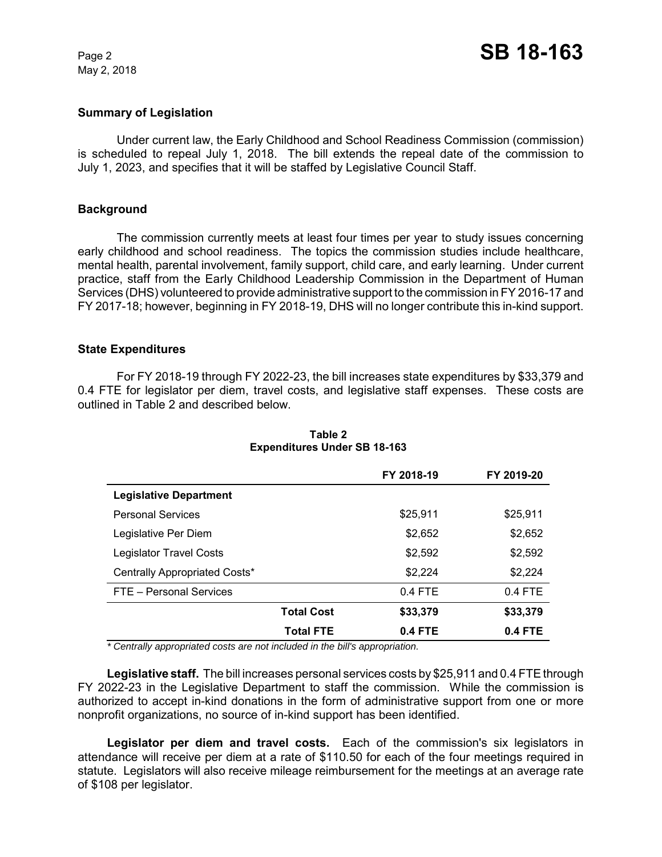May 2, 2018

### **Summary of Legislation**

Under current law, the Early Childhood and School Readiness Commission (commission) is scheduled to repeal July 1, 2018. The bill extends the repeal date of the commission to July 1, 2023, and specifies that it will be staffed by Legislative Council Staff.

#### **Background**

The commission currently meets at least four times per year to study issues concerning early childhood and school readiness. The topics the commission studies include healthcare, mental health, parental involvement, family support, child care, and early learning. Under current practice, staff from the Early Childhood Leadership Commission in the Department of Human Services (DHS) volunteered to provide administrative support to the commission in FY 2016-17 and FY 2017-18; however, beginning in FY 2018-19, DHS will no longer contribute this in-kind support.

#### **State Expenditures**

For FY 2018-19 through FY 2022-23, the bill increases state expenditures by \$33,379 and 0.4 FTE for legislator per diem, travel costs, and legislative staff expenses. These costs are outlined in Table 2 and described below.

|                                |                   | FY 2018-19 | FY 2019-20 |
|--------------------------------|-------------------|------------|------------|
| <b>Legislative Department</b>  |                   |            |            |
| <b>Personal Services</b>       |                   | \$25.911   | \$25,911   |
| Legislative Per Diem           |                   | \$2,652    | \$2,652    |
| <b>Legislator Travel Costs</b> |                   | \$2,592    | \$2,592    |
| Centrally Appropriated Costs*  |                   | \$2,224    | \$2,224    |
| FTE - Personal Services        |                   | $0.4$ FTE  | $0.4$ FTE  |
|                                | <b>Total Cost</b> | \$33,379   | \$33,379   |
|                                | <b>Total FTE</b>  | $0.4$ FTE  | 0.4 FTE    |

### **Table 2 Expenditures Under SB 18-163**

 *\* Centrally appropriated costs are not included in the bill's appropriation.*

**Legislative staff.** The bill increases personal services costs by \$25,911 and 0.4 FTE through FY 2022-23 in the Legislative Department to staff the commission. While the commission is authorized to accept in-kind donations in the form of administrative support from one or more nonprofit organizations, no source of in-kind support has been identified.

Legislator per diem and travel costs. Each of the commission's six legislators in attendance will receive per diem at a rate of \$110.50 for each of the four meetings required in statute. Legislators will also receive mileage reimbursement for the meetings at an average rate of \$108 per legislator.